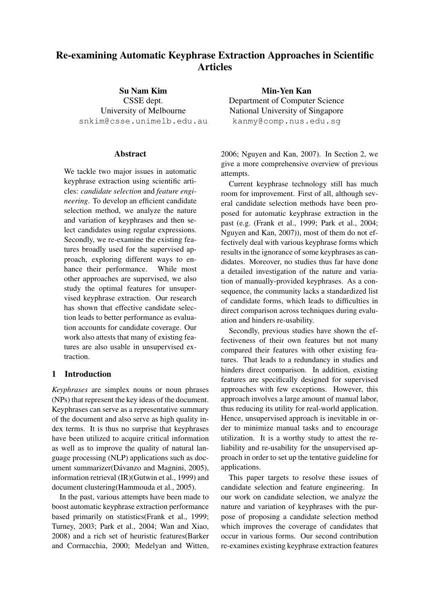# Re-examining Automatic Keyphrase Extraction Approaches in Scientific **Articles**

Su Nam Kim CSSE dept. University of Melbourne snkim@csse.unimelb.edu.au

### Abstract

We tackle two major issues in automatic keyphrase extraction using scientific articles: *candidate selection* and *feature engineering*. To develop an efficient candidate selection method, we analyze the nature and variation of keyphrases and then select candidates using regular expressions. Secondly, we re-examine the existing features broadly used for the supervised approach, exploring different ways to enhance their performance. While most other approaches are supervised, we also study the optimal features for unsupervised keyphrase extraction. Our research has shown that effective candidate selection leads to better performance as evaluation accounts for candidate coverage. Our work also attests that many of existing features are also usable in unsupervised extraction.

## 1 Introduction

*Keyphrases* are simplex nouns or noun phrases (NPs) that represent the key ideas of the document. Keyphrases can serve as a representative summary of the document and also serve as high quality index terms. It is thus no surprise that keyphrases have been utilized to acquire critical information as well as to improve the quality of natural language processing (NLP) applications such as document summarizer(Dávanzo and Magnini, 2005), information retrieval (IR)(Gutwin et al., 1999) and document clustering(Hammouda et al., 2005).

In the past, various attempts have been made to boost automatic keyphrase extraction performance based primarily on statistics(Frank et al., 1999; Turney, 2003; Park et al., 2004; Wan and Xiao, 2008) and a rich set of heuristic features(Barker and Corrnacchia, 2000; Medelyan and Witten,

Min-Yen Kan Department of Computer Science National University of Singapore kanmy@comp.nus.edu.sg

2006; Nguyen and Kan, 2007). In Section 2, we give a more comprehensive overview of previous attempts.

Current keyphrase technology still has much room for improvement. First of all, although several candidate selection methods have been proposed for automatic keyphrase extraction in the past (e.g. (Frank et al., 1999; Park et al., 2004; Nguyen and Kan, 2007)), most of them do not effectively deal with various keyphrase forms which results in the ignorance of some keyphrases as candidates. Moreover, no studies thus far have done a detailed investigation of the nature and variation of manually-provided keyphrases. As a consequence, the community lacks a standardized list of candidate forms, which leads to difficulties in direct comparison across techniques during evaluation and hinders re-usability.

Secondly, previous studies have shown the effectiveness of their own features but not many compared their features with other existing features. That leads to a redundancy in studies and hinders direct comparison. In addition, existing features are specifically designed for supervised approaches with few exceptions. However, this approach involves a large amount of manual labor, thus reducing its utility for real-world application. Hence, unsupervised approach is inevitable in order to minimize manual tasks and to encourage utilization. It is a worthy study to attest the reliability and re-usability for the unsupervised approach in order to set up the tentative guideline for applications.

This paper targets to resolve these issues of candidate selection and feature engineering. In our work on candidate selection, we analyze the nature and variation of keyphrases with the purpose of proposing a candidate selection method which improves the coverage of candidates that occur in various forms. Our second contribution re-examines existing keyphrase extraction features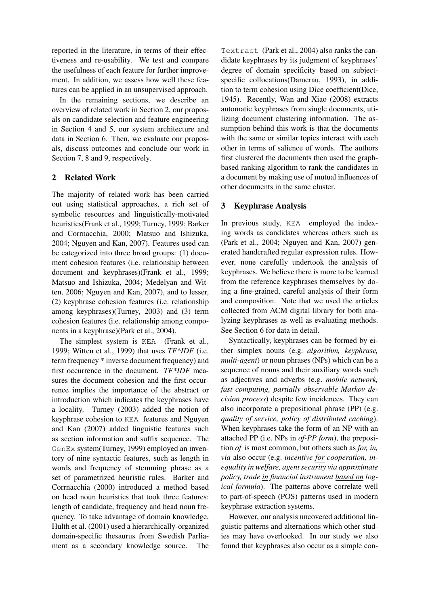reported in the literature, in terms of their effectiveness and re-usability. We test and compare the usefulness of each feature for further improvement. In addition, we assess how well these features can be applied in an unsupervised approach.

In the remaining sections, we describe an overview of related work in Section 2, our proposals on candidate selection and feature engineering in Section 4 and 5, our system architecture and data in Section 6. Then, we evaluate our proposals, discuss outcomes and conclude our work in Section 7, 8 and 9, respectively.

# 2 Related Work

The majority of related work has been carried out using statistical approaches, a rich set of symbolic resources and linguistically-motivated heuristics(Frank et al., 1999; Turney, 1999; Barker and Corrnacchia, 2000; Matsuo and Ishizuka, 2004; Nguyen and Kan, 2007). Features used can be categorized into three broad groups: (1) document cohesion features (i.e. relationship between document and keyphrases)(Frank et al., 1999; Matsuo and Ishizuka, 2004; Medelyan and Witten, 2006; Nguyen and Kan, 2007), and to lesser, (2) keyphrase cohesion features (i.e. relationship among keyphrases)(Turney, 2003) and (3) term cohesion features (i.e. relationship among components in a keyphrase)(Park et al., 2004).

The simplest system is KEA (Frank et al., 1999; Witten et al., 1999) that uses *TF\*IDF* (i.e. term frequency \* inverse document frequency) and first occurrence in the document. *TF\*IDF* measures the document cohesion and the first occurrence implies the importance of the abstract or introduction which indicates the keyphrases have a locality. Turney (2003) added the notion of keyphrase cohesion to KEA features and Nguyen and Kan (2007) added linguistic features such as section information and suffix sequence. The GenEx system(Turney, 1999) employed an inventory of nine syntactic features, such as length in words and frequency of stemming phrase as a set of parametrized heuristic rules. Barker and Corrnacchia (2000) introduced a method based on head noun heuristics that took three features: length of candidate, frequency and head noun frequency. To take advantage of domain knowledge, Hulth et al. (2001) used a hierarchically-organized domain-specific thesaurus from Swedish Parliament as a secondary knowledge source. The Textract (Park et al., 2004) also ranks the candidate keyphrases by its judgment of keyphrases' degree of domain specificity based on subjectspecific collocations(Damerau, 1993), in addition to term cohesion using Dice coefficient(Dice, 1945). Recently, Wan and Xiao (2008) extracts automatic keyphrases from single documents, utilizing document clustering information. The assumption behind this work is that the documents with the same or similar topics interact with each other in terms of salience of words. The authors first clustered the documents then used the graphbased ranking algorithm to rank the candidates in a document by making use of mutual influences of other documents in the same cluster.

# 3 Keyphrase Analysis

In previous study, KEA employed the indexing words as candidates whereas others such as (Park et al., 2004; Nguyen and Kan, 2007) generated handcrafted regular expression rules. However, none carefully undertook the analysis of keyphrases. We believe there is more to be learned from the reference keyphrases themselves by doing a fine-grained, careful analysis of their form and composition. Note that we used the articles collected from ACM digital library for both analyzing keyphrases as well as evaluating methods. See Section 6 for data in detail.

Syntactically, keyphrases can be formed by either simplex nouns (e.g. *algorithm, keyphrase, multi-agent*) or noun phrases (NPs) which can be a sequence of nouns and their auxiliary words such as adjectives and adverbs (e.g. *mobile network, fast computing, partially observable Markov decision process*) despite few incidences. They can also incorporate a prepositional phrase (PP) (e.g. *quality of service, policy of distributed caching*). When keyphrases take the form of an NP with an attached PP (i.e. NPs in *of-PP form*), the preposition *of* is most common, but others such as *for, in, via* also occur (e.g. *incentive for cooperation, inequality in welfare, agent security via approximate policy, trade in financial instrument based on logical formula*). The patterns above correlate well to part-of-speech (POS) patterns used in modern keyphrase extraction systems.

However, our analysis uncovered additional linguistic patterns and alternations which other studies may have overlooked. In our study we also found that keyphrases also occur as a simple con-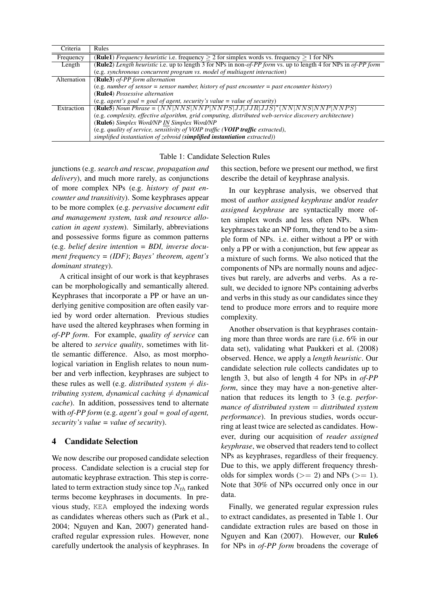| Criteria    | Rules                                                                                                           |
|-------------|-----------------------------------------------------------------------------------------------------------------|
| Frequency   | <b>(Rule1)</b> <i>Frequency heuristic</i> i.e. frequency $> 2$ for simplex words vs. frequency $> 1$ for NPs    |
| Length      | (Rule2) Length heuristic i.e. up to length 3 for NPs in non-of-PP form vs. up to length 4 for NPs in of-PP form |
|             | (e.g. synchronous concurrent program vs. model of multiagent interaction)                                       |
| Alternation | (Rule3) of-PP form alternation                                                                                  |
|             | (e.g. number of sensor = sensor number, history of past encounter = past encounter history)                     |
|             | (Rule4) Possessive alternation                                                                                  |
|             | (e.g. agent's goal = goal of agent, security's value = value of security)                                       |
| Extraction  | <b>(Rule5)</b> Noun Phrase = $(NN NNS NNP NNPS JJ JJR JJS)^*(NN NNS NNP NNPS)$                                  |
|             | (e.g. complexity, effective algorithm, grid computing, distributed web-service discovery architecture)          |
|             | (Rule6) Simplex Word/NP IN Simplex Word/NP                                                                      |
|             | (e.g. quality of service, sensitivity of VOIP traffic (VOIP traffic extracted),                                 |
|             | simplified instantiation of zebroid (simplified instantiation extracted))                                       |

### Table 1: Candidate Selection Rules

junctions (e.g. *search and rescue, propagation and delivery*), and much more rarely, as conjunctions of more complex NPs (e.g. *history of past encounter and transitivity*). Some keyphrases appear to be more complex (e.g. *pervasive document edit and management system, task and resource allocation in agent system*). Similarly, abbreviations and possessive forms figure as common patterns (e.g. *belief desire intention = BDI, inverse document frequency = (IDF)*; *Bayes' theorem, agent's dominant strategy*).

A critical insight of our work is that keyphrases can be morphologically and semantically altered. Keyphrases that incorporate a PP or have an underlying genitive composition are often easily varied by word order alternation. Previous studies have used the altered keyphrases when forming in *of-PP form*. For example, *quality of service* can be altered to *service quality*, sometimes with little semantic difference. Also, as most morphological variation in English relates to noun number and verb inflection, keyphrases are subject to these rules as well (e.g. *distributed system*  $\neq$  *distributing system, dynamical caching*  $\neq$  *dynamical cache*). In addition, possessives tend to alternate with *of-PP form* (e.g. *agent's goal = goal of agent, security's value = value of security*).

## 4 Candidate Selection

We now describe our proposed candidate selection process. Candidate selection is a crucial step for automatic keyphrase extraction. This step is correlated to term extraction study since top  $N_{th}$  ranked terms become keyphrases in documents. In previous study, KEA employed the indexing words as candidates whereas others such as (Park et al., 2004; Nguyen and Kan, 2007) generated handcrafted regular expression rules. However, none carefully undertook the analysis of keyphrases. In this section, before we present our method, we first describe the detail of keyphrase analysis.

In our keyphrase analysis, we observed that most of *author assigned keyphrase* and/or *reader assigned keyphrase* are syntactically more often simplex words and less often NPs. When keyphrases take an NP form, they tend to be a simple form of NPs. i.e. either without a PP or with only a PP or with a conjunction, but few appear as a mixture of such forms. We also noticed that the components of NPs are normally nouns and adjectives but rarely, are adverbs and verbs. As a result, we decided to ignore NPs containing adverbs and verbs in this study as our candidates since they tend to produce more errors and to require more complexity.

Another observation is that keyphrases containing more than three words are rare (i.e. 6% in our data set), validating what Paukkeri et al. (2008) observed. Hence, we apply a *length heuristic*. Our candidate selection rule collects candidates up to length 3, but also of length 4 for NPs in *of-PP form*, since they may have a non-genetive alternation that reduces its length to 3 (e.g. *performance of distributed system* = *distributed system performance*). In previous studies, words occurring at least twice are selected as candidates. However, during our acquisition of *reader assigned keyphrase*, we observed that readers tend to collect NPs as keyphrases, regardless of their frequency. Due to this, we apply different frequency thresholds for simplex words ( $>= 2$ ) and NPs ( $>= 1$ ). Note that 30% of NPs occurred only once in our data.

Finally, we generated regular expression rules to extract candidates, as presented in Table 1. Our candidate extraction rules are based on those in Nguyen and Kan (2007). However, our Rule6 for NPs in *of-PP form* broadens the coverage of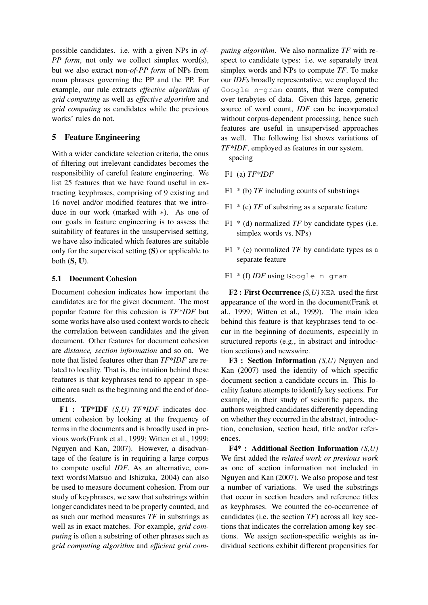possible candidates. i.e. with a given NPs in *of-PP form*, not only we collect simplex word(s), but we also extract non-*of-PP form* of NPs from noun phrases governing the PP and the PP. For example, our rule extracts *effective algorithm of grid computing* as well as *effective algorithm* and *grid computing* as candidates while the previous works' rules do not.

# 5 Feature Engineering

With a wider candidate selection criteria, the onus of filtering out irrelevant candidates becomes the responsibility of careful feature engineering. We list 25 features that we have found useful in extracting keyphrases, comprising of 9 existing and 16 novel and/or modified features that we introduce in our work (marked with ∗). As one of our goals in feature engineering is to assess the suitability of features in the unsupervised setting, we have also indicated which features are suitable only for the supervised setting (S) or applicable to both  $(S, U)$ .

### 5.1 Document Cohesion

Document cohesion indicates how important the candidates are for the given document. The most popular feature for this cohesion is *TF\*IDF* but some works have also used context words to check the correlation between candidates and the given document. Other features for document cohesion are *distance, section information* and so on. We note that listed features other than *TF\*IDF* are related to locality. That is, the intuition behind these features is that keyphrases tend to appear in specific area such as the beginning and the end of documents.

F1 : TF\*IDF *(S,U) TF\*IDF* indicates document cohesion by looking at the frequency of terms in the documents and is broadly used in previous work(Frank et al., 1999; Witten et al., 1999; Nguyen and Kan, 2007). However, a disadvantage of the feature is in requiring a large corpus to compute useful *IDF*. As an alternative, context words(Matsuo and Ishizuka, 2004) can also be used to measure document cohesion. From our study of keyphrases, we saw that substrings within longer candidates need to be properly counted, and as such our method measures *TF* in substrings as well as in exact matches. For example, *grid computing* is often a substring of other phrases such as *grid computing algorithm* and *efficient grid com-* *puting algorithm*. We also normalize *TF* with respect to candidate types: i.e. we separately treat simplex words and NPs to compute *TF*. To make our *IDFs* broadly representative, we employed the Google n-gram counts, that were computed over terabytes of data. Given this large, generic source of word count, *IDF* can be incorporated without corpus-dependent processing, hence such features are useful in unsupervised approaches as well. The following list shows variations of *TF\*IDF*, employed as features in our system.

spacing

- F1 (a) *TF\*IDF*
- F1 \* (b) *TF* including counts of substrings
- F1 \* (c) *TF* of substring as a separate feature
- F1 \* (d) normalized *TF* by candidate types (i.e. simplex words vs. NPs)
- F1 \* (e) normalized *TF* by candidate types as a separate feature
- F1 \* (f) *IDF* using Google n-gram

F2 : First Occurrence *(S,U)* KEA used the first appearance of the word in the document(Frank et al., 1999; Witten et al., 1999). The main idea behind this feature is that keyphrases tend to occur in the beginning of documents, especially in structured reports (e.g., in abstract and introduction sections) and newswire.

F3 : Section Information *(S,U)* Nguyen and Kan (2007) used the identity of which specific document section a candidate occurs in. This locality feature attempts to identify key sections. For example, in their study of scientific papers, the authors weighted candidates differently depending on whether they occurred in the abstract, introduction, conclusion, section head, title and/or references.

F4\* : Additional Section Information *(S,U)* We first added the *related work or previous work* as one of section information not included in Nguyen and Kan (2007). We also propose and test a number of variations. We used the substrings that occur in section headers and reference titles as keyphrases. We counted the co-occurrence of candidates (i.e. the section *TF*) across all key sections that indicates the correlation among key sections. We assign section-specific weights as individual sections exhibit different propensities for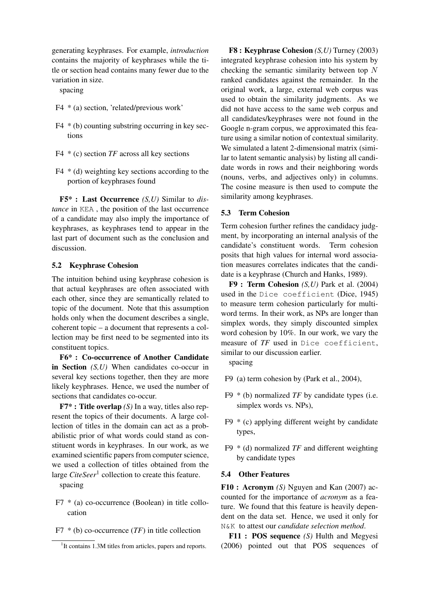generating keyphrases. For example, *introduction* contains the majority of keyphrases while the title or section head contains many fewer due to the variation in size.

spacing

- F4 \* (a) section, 'related/previous work'
- $F4 * (b)$  counting substring occurring in key sections
- F4 \* (c) section *TF* across all key sections
- $F4 * (d)$  weighting key sections according to the portion of keyphrases found

F5\* : Last Occurrence *(S,U)* Similar to *distance* in KEA , the position of the last occurrence of a candidate may also imply the importance of keyphrases, as keyphrases tend to appear in the last part of document such as the conclusion and discussion.

### 5.2 Keyphrase Cohesion

The intuition behind using keyphrase cohesion is that actual keyphrases are often associated with each other, since they are semantically related to topic of the document. Note that this assumption holds only when the document describes a single, coherent topic – a document that represents a collection may be first need to be segmented into its constituent topics.

F6\* : Co-occurrence of Another Candidate in Section *(S,U)* When candidates co-occur in several key sections together, then they are more likely keyphrases. Hence, we used the number of sections that candidates co-occur.

F7\* : Title overlap *(S)* In a way, titles also represent the topics of their documents. A large collection of titles in the domain can act as a probabilistic prior of what words could stand as constituent words in keyphrases. In our work, as we examined scientific papers from computer science, we used a collection of titles obtained from the large *CiteSeer*<sup>1</sup> collection to create this feature.

spacing

- F7 \* (a) co-occurrence (Boolean) in title collocation
- F7 \* (b) co-occurrence (*TF*) in title collection

F8 : Keyphrase Cohesion *(S,U)* Turney (2003) integrated keyphrase cohesion into his system by checking the semantic similarity between top N ranked candidates against the remainder. In the original work, a large, external web corpus was used to obtain the similarity judgments. As we did not have access to the same web corpus and all candidates/keyphrases were not found in the Google n-gram corpus, we approximated this feature using a similar notion of contextual similarity. We simulated a latent 2-dimensional matrix (similar to latent semantic analysis) by listing all candidate words in rows and their neighboring words (nouns, verbs, and adjectives only) in columns. The cosine measure is then used to compute the similarity among keyphrases.

#### 5.3 Term Cohesion

Term cohesion further refines the candidacy judgment, by incorporating an internal analysis of the candidate's constituent words. Term cohesion posits that high values for internal word association measures correlates indicates that the candidate is a keyphrase (Church and Hanks, 1989).

F9 : Term Cohesion *(S,U)* Park et al. (2004) used in the Dice coefficient (Dice, 1945) to measure term cohesion particularly for multiword terms. In their work, as NPs are longer than simplex words, they simply discounted simplex word cohesion by 10%. In our work, we vary the measure of *TF* used in Dice coefficient, similar to our discussion earlier.

spacing

- F9 (a) term cohesion by (Park et al., 2004),
- F9 \* (b) normalized *TF* by candidate types (i.e. simplex words vs. NPs),
- $F9 * (c)$  applying different weight by candidate types,
- F9 \* (d) normalized *TF* and different weighting by candidate types

#### 5.4 Other Features

F10 : Acronym *(S)* Nguyen and Kan (2007) accounted for the importance of *acronym* as a feature. We found that this feature is heavily dependent on the data set. Hence, we used it only for N&K to attest our *candidate selection method*.

F11 : POS sequence *(S)* Hulth and Megyesi (2006) pointed out that POS sequences of

<sup>&</sup>lt;sup>1</sup>It contains 1.3M titles from articles, papers and reports.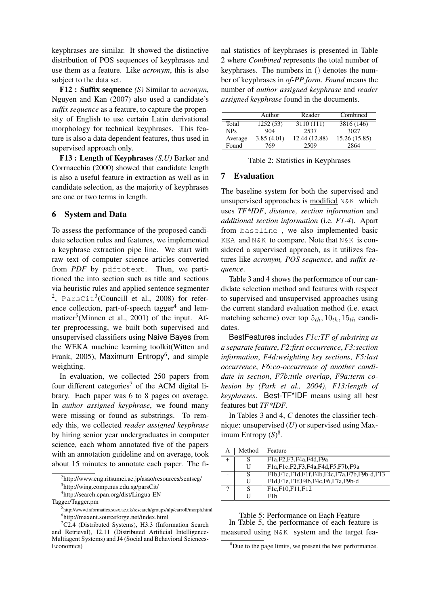keyphrases are similar. It showed the distinctive distribution of POS sequences of keyphrases and use them as a feature. Like *acronym*, this is also subject to the data set.

F12 : Suffix sequence *(S)* Similar to *acronym*, Nguyen and Kan (2007) also used a candidate's *suffix sequence* as a feature, to capture the propensity of English to use certain Latin derivational morphology for technical keyphrases. This feature is also a data dependent features, thus used in supervised approach only.

F13 : Length of Keyphrases *(S,U)* Barker and Corrnacchia (2000) showed that candidate length is also a useful feature in extraction as well as in candidate selection, as the majority of keyphrases are one or two terms in length.

### 6 System and Data

To assess the performance of the proposed candidate selection rules and features, we implemented a keyphrase extraction pipe line. We start with raw text of computer science articles converted from *PDF* by pdftotext. Then, we partitioned the into section such as title and sections via heuristic rules and applied sentence segmenter  $2$ , ParsCit<sup>3</sup>(Councill et al., 2008) for reference collection, part-of-speech tagger<sup>4</sup> and lemmatizer<sup>5</sup>(Minnen et al., 2001) of the input. After preprocessing, we built both supervised and unsupervised classifiers using Naive Bayes from the WEKA machine learning toolkit(Witten and Frank, 2005), Maximum Entropy<sup>6</sup>, and simple weighting.

In evaluation, we collected 250 papers from four different categories<sup>7</sup> of the ACM digital library. Each paper was 6 to 8 pages on average. In *author assigned keyphrase*, we found many were missing or found as substrings. To remedy this, we collected *reader assigned keyphrase* by hiring senior year undergraduates in computer science, each whom annotated five of the papers with an annotation guideline and on average, took about 15 minutes to annotate each paper. The final statistics of keyphrases is presented in Table 2 where *Combined* represents the total number of keyphrases. The numbers in () denotes the number of keyphrases in *of-PP form*. *Found* means the number of *author assigned keyphrase* and *reader assigned keyphrase* found in the documents.

|            | Author     | Reader        | Combined      |
|------------|------------|---------------|---------------|
| Total      | 1252 (53)  | 3110 (111)    | 3816 (146)    |
| <b>NPs</b> | 904        | 2537          | 3027          |
| Average    | 3.85(4.01) | 12.44 (12.88) | 15.26 (15.85) |
| Found      | 769        | 2509          | 2864          |

|  | Table 2: Statistics in Keyphrases |  |  |  |
|--|-----------------------------------|--|--|--|
|--|-----------------------------------|--|--|--|

### 7 Evaluation

The baseline system for both the supervised and unsupervised approaches is modified N&K which uses *TF\*IDF*, *distance, section information* and *additional section information* (i.e. *F1-4*). Apart from baseline , we also implemented basic KEA and N&K to compare. Note that N&K is considered a supervised approach, as it utilizes features like *acronym, POS sequence*, and *suffix sequence*.

Table 3 and 4 shows the performance of our candidate selection method and features with respect to supervised and unsupervised approaches using the current standard evaluation method (i.e. exact matching scheme) over top  $5<sub>th</sub>$ ,  $10<sub>th</sub>$ ,  $15<sub>th</sub>$  candidates.

BestFeatures includes *F1c:TF of substring as a separate feature*, *F2:first occurrence*, *F3:section information*, *F4d:weighting key sections*, *F5:last occurrence*, *F6:co-occurrence of another candidate in section*, *F7b:title overlap*, *F9a:term cohesion by (Park et al., 2004)*, *F13:length of keyphrases*. Best-TF\*IDF means using all best features but *TF\*IDF*.

In Tables 3 and 4, *C* denotes the classifier technique: unsupervised (*U*) or supervised using Maximum Entropy  $(S)^8$ .

| Α | Method | Feature                                                                                                 |
|---|--------|---------------------------------------------------------------------------------------------------------|
|   | S      | F <sub>1</sub> a, F <sub>2</sub> , F <sub>3</sub> , F <sub>4a</sub> , F <sub>4d</sub> , F <sub>9a</sub> |
|   |        | F1a,F1c,F2,F3,F4a,F4d,F5,F7b,F9a                                                                        |
|   | S      | F1b,F1c,F1d,F1f,F4b,F4c,F7a,F7b,F9b-d,F13                                                               |
|   | H      | F1d,F1e,F1f,F4b,F4c,F6,F7a,F9b-d                                                                        |
| າ | S      | F <sub>1</sub> e,F <sub>10</sub> ,F <sub>11</sub> ,F <sub>12</sub>                                      |
|   |        | F1b                                                                                                     |

Table 5: Performance on Each Feature In Table 5, the performance of each feature is measured using N&K system and the target fea-

<sup>&</sup>lt;sup>2</sup>http://www.eng.ritsumei.ac.jp/asao/resources/sentseg/

<sup>3</sup> http://wing.comp.nus.edu.sg/parsCit/

<sup>4</sup> http://search.cpan.org/dist/Lingua-EN-

Tagger/Tagger.pm

<sup>5&</sup>lt;br>http://www.informatics.susx.ac.uk/research/groups/nlp/carroll/morph.html 6 http://maxent.sourceforge.net/index.html

 ${}^{7}C2.4$  (Distributed Systems), H3.3 (Information Search) and Retrieval), I2.11 (Distributed Artificial Intelligence-Multiagent Systems) and J4 (Social and Behavioral Sciences-Economics)

 $8$ Due to the page limits, we present the best performance.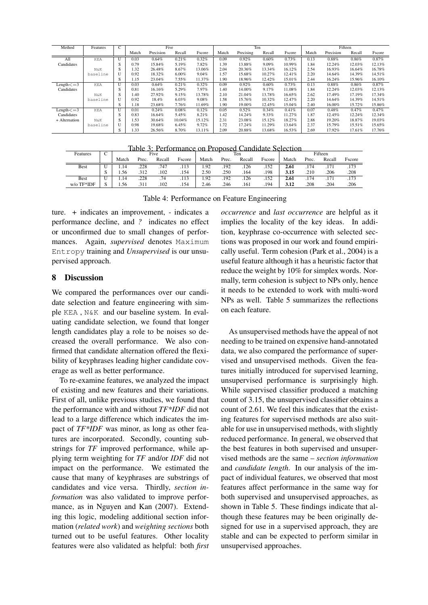| Method            | Features   | C            |       | Five      |        |        |       | Ten       |        |        | Fifteen |           |        |        |
|-------------------|------------|--------------|-------|-----------|--------|--------|-------|-----------|--------|--------|---------|-----------|--------|--------|
|                   |            |              | Match | Precision | Recall | Fscore | Match | Precising | Recall | Fscore | Match   | Precision | Recall | Fscore |
| All               | <b>KEA</b> | $\mathbf{U}$ | 0.03  | 0.64%     | 0.21%  | 0.32%  | 0.09  | 0.92%     | 0.60%  | 0.73%  | 0.13    | 0.88%     | 0.86%  | 0.87%  |
| Candidates        |            | S            | 0.79  | 15.84%    | 5.19%  | 7.82%  | 1.39  | 13.88%    | 9.09%  | 10.99% | 1.84    | 12.24%    | 12.03% | 12.13% |
|                   | N&K        | S            | 1.32  | 26.48%    | 8.67%  | 13.06% | 2.04  | 20.36%    | 13.34% | 16.12% | 2.54    | 16.93%    | 16.64% | 16.78% |
|                   | baseline   | $\mathbf{U}$ | 0.92  | 18.32%    | 6.00%  | 9.04%  | 1.57  | 15.68%    | 10.27% | 12.41% | 2.20    | 14.64%    | 14.39% | 14.51% |
|                   |            | S            | 1.15  | 23.04%    | 7.55%  | 11.37% | 1.90  | 18.96%    | 12.42% | 15.01% | 2.44    | 16.24%    | 15.96% | 16.10% |
| $Length < = 3$    | <b>KEA</b> | $\mathbf{U}$ | 0.03  | 0.64%     | 0.21%  | 0.32%  | 0.09  | 0.92%     | 0.60%  | 0.73%  | 0.13    | 0.88%     | 0.86%  | 0.87%  |
| Candidates        |            | S            | 0.81  | 16.16%    | 5.29%  | 7.97%  | 1.40  | 14.00%    | 9.17%  | 11.08% | 1.84    | 12.24%    | 12.03% | 12.13% |
|                   | N&K        | S            | 1.40  | 27.92%    | 9.15%  | 13.78% | 2.10  | 21.04%    | 13.78% | 16.65% | 2.62    | 17.49%    | 17.19% | 17.34% |
|                   | baseline   | $\mathbf{U}$ | 0.92  | 18.4%     | 6.03%  | 9.08%  | 1.58  | 15.76%    | 10.32% | 12.47% | 2.20    | 14.64%    | 14.39% | 14.51% |
|                   |            | S            | 1.18  | 23.68%    | 7.76%  | 11.69% | 1.90  | 19.00%    | 12.45% | 15.04% | 2.40    | 16.00%    | 15.72% | 15.86% |
| Length $\leq$ = 3 | <b>KEA</b> | $\mathbf{U}$ | 0.01  | 0.24%     | 0.08%  | 0.12%  | 0.05  | 0.52%     | 0.34%  | 0.41%  | 0.07    | 0.48%     | 0.47%  | 0.47%  |
| Candidates        |            | S            | 0.83  | 16.64%    | 5.45%  | 8.21%  | 1.42  | 14.24%    | 9.33%  | 11.27% | 1.87    | 12.45%    | 12.24% | 12.34% |
| + Alternation     | N&K        | S            | 1.53  | 30.64%    | 10.04% | 15.12% | 2.31  | 23.08%    | 15.12% | 18.27% | 2.88    | 19.20%    | 18.87% | 19.03% |
|                   | baseline   | $\mathbf{U}$ | 0.98  | 19.68%    | 6.45%  | 9.72%  | 1.72  | 17.24%    | 11.29% | 13.64% | 2.37    | 15.79%    | 15.51% | 15.65% |
|                   |            | S            | 1.33  | 26.56%    | 8.70%  | 13.11% | 2.09  | 20.88%    | 13.68% | 16.53% | 2.69    | 17.92%    | 17.61% | 17.76% |

| Table 3: Performance on Proposed Candidate Selection |  |  |
|------------------------------------------------------|--|--|
|                                                      |  |  |

| Features      | ◡ |       |       | Five   |        | Ten   |       |        |        | Fifteen |       |             |        |  |
|---------------|---|-------|-------|--------|--------|-------|-------|--------|--------|---------|-------|-------------|--------|--|
|               |   | Match | Prec. | Recall | Escore | Match | Prec. | Recall | Fscore | Match   | Prec. | Recall      | Fscore |  |
| Best          |   | 1.14  | .228  | .747   | .113   | 1.92  | .192  | .126   | .152   | 2.61    |       |             | .173   |  |
|               |   | 1.56  | .312  | .102   | .154   | 2.50  | .250  | .164   | .198   | 3.15    | .210  | .206        | .208   |  |
| Best          |   | 1.14  | .228  | .74    | .113   | 1.92  | .192  | .126   | .152   | 2.61    | .174  | 171<br>.1/1 | .173   |  |
| $w$ /o TF*IDF |   | 1.56  | .311  | .102   | .154   | 2.46  | .246  | .161   | .194   | 3.12    | .208  | .204        | .206   |  |

Table 4: Performance on Feature Engineering

ture. *+* indicates an improvement, *-* indicates a performance decline, and *?* indicates no effect or unconfirmed due to small changes of performances. Again, *supervised* denotes Maximum Entropy training and *Unsupervised* is our unsupervised approach.

### 8 Discussion

We compared the performances over our candidate selection and feature engineering with simple KEA , N&K and our baseline system. In evaluating candidate selection, we found that longer length candidates play a role to be noises so decreased the overall performance. We also confirmed that candidate alternation offered the flexibility of keyphrases leading higher candidate coverage as well as better performance.

To re-examine features, we analyzed the impact of existing and new features and their variations. First of all, unlike previous studies, we found that the performance with and without *TF\*IDF* did not lead to a large difference which indicates the impact of *TF\*IDF* was minor, as long as other features are incorporated. Secondly, counting substrings for *TF* improved performance, while applying term weighting for *TF* and/or *IDF* did not impact on the performance. We estimated the cause that many of keyphrases are substrings of candidates and vice versa. Thirdly, *section information* was also validated to improve performance, as in Nguyen and Kan (2007). Extending this logic, modeling additional section information (*related work*) and *weighting sections* both turned out to be useful features. Other locality features were also validated as helpful: both *first* *occurrence* and *last occurrence* are helpful as it implies the locality of the key ideas. In addition, keyphrase co-occurrence with selected sections was proposed in our work and found empirically useful. Term cohesion (Park et al., 2004) is a useful feature although it has a heuristic factor that reduce the weight by 10% for simplex words. Normally, term cohesion is subject to NPs only, hence it needs to be extended to work with multi-word NPs as well. Table 5 summarizes the reflections on each feature.

As unsupervised methods have the appeal of not needing to be trained on expensive hand-annotated data, we also compared the performance of supervised and unsupervised methods. Given the features initially introduced for supervised learning, unsupervised performance is surprisingly high. While supervised classifier produced a matching count of 3.15, the unsupervised classifier obtains a count of 2.61. We feel this indicates that the existing features for supervised methods are also suitable for use in unsupervised methods, with slightly reduced performance. In general, we observed that the best features in both supervised and unsupervised methods are the same – *section information* and *candidate length*. In our analysis of the impact of individual features, we observed that most features affect performance in the same way for both supervised and unsupervised approaches, as shown in Table 5. These findings indicate that although these features may be been originally designed for use in a supervised approach, they are stable and can be expected to perform similar in unsupervised approaches.